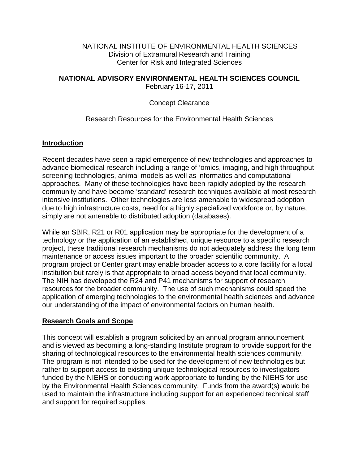#### NATIONAL INSTITUTE OF ENVIRONMENTAL HEALTH SCIENCES Division of Extramural Research and Training Center for Risk and Integrated Sciences

### **NATIONAL ADVISORY ENVIRONMENTAL HEALTH SCIENCES COUNCIL**

February 16-17, 2011

#### Concept Clearance

### Research Resources for the Environmental Health Sciences

### **Introduction**

Recent decades have seen a rapid emergence of new technologies and approaches to advance biomedical research including a range of 'omics, imaging, and high throughput screening technologies, animal models as well as informatics and computational approaches. Many of these technologies have been rapidly adopted by the research community and have become 'standard' research techniques available at most research intensive institutions. Other technologies are less amenable to widespread adoption due to high infrastructure costs, need for a highly specialized workforce or, by nature, simply are not amenable to distributed adoption (databases).

While an SBIR, R21 or R01 application may be appropriate for the development of a technology or the application of an established, unique resource to a specific research project, these traditional research mechanisms do not adequately address the long term maintenance or access issues important to the broader scientific community. A program project or Center grant may enable broader access to a core facility for a local institution but rarely is that appropriate to broad access beyond that local community. The NIH has developed the R24 and P41 mechanisms for support of research resources for the broader community. The use of such mechanisms could speed the application of emerging technologies to the environmental health sciences and advance our understanding of the impact of environmental factors on human health.

#### **Research Goals and Scope**

This concept will establish a program solicited by an annual program announcement and is viewed as becoming a long-standing Institute program to provide support for the sharing of technological resources to the environmental health sciences community. The program is not intended to be used for the development of new technologies but rather to support access to existing unique technological resources to investigators funded by the NIEHS or conducting work appropriate to funding by the NIEHS for use by the Environmental Health Sciences community. Funds from the award(s) would be used to maintain the infrastructure including support for an experienced technical staff and support for required supplies.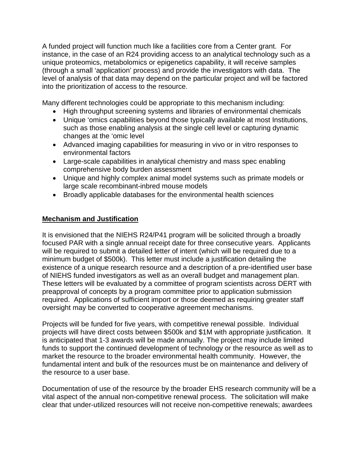A funded project will function much like a facilities core from a Center grant. For instance, in the case of an R24 providing access to an analytical technology such as a unique proteomics, metabolomics or epigenetics capability, it will receive samples (through a small 'application' process) and provide the investigators with data. The level of analysis of that data may depend on the particular project and will be factored into the prioritization of access to the resource.

Many different technologies could be appropriate to this mechanism including:

- High throughput screening systems and libraries of environmental chemicals
- Unique 'omics capabilities beyond those typically available at most Institutions, such as those enabling analysis at the single cell level or capturing dynamic changes at the 'omic level
- Advanced imaging capabilities for measuring in vivo or in vitro responses to environmental factors
- Large-scale capabilities in analytical chemistry and mass spec enabling comprehensive body burden assessment
- Unique and highly complex animal model systems such as primate models or large scale recombinant-inbred mouse models
- Broadly applicable databases for the environmental health sciences

# **Mechanism and Justification**

It is envisioned that the NIEHS R24/P41 program will be solicited through a broadly focused PAR with a single annual receipt date for three consecutive years. Applicants will be required to submit a detailed letter of intent (which will be required due to a minimum budget of \$500k). This letter must include a justification detailing the existence of a unique research resource and a description of a pre-identified user base of NIEHS funded investigators as well as an overall budget and management plan. These letters will be evaluated by a committee of program scientists across DERT with preapproval of concepts by a program committee prior to application submission required. Applications of sufficient import or those deemed as requiring greater staff oversight may be converted to cooperative agreement mechanisms.

Projects will be funded for five years, with competitive renewal possible. Individual projects will have direct costs between \$500k and \$1M with appropriate justification. It is anticipated that 1-3 awards will be made annually. The project may include limited funds to support the continued development of technology or the resource as well as to market the resource to the broader environmental health community. However, the fundamental intent and bulk of the resources must be on maintenance and delivery of the resource to a user base.

Documentation of use of the resource by the broader EHS research community will be a vital aspect of the annual non-competitive renewal process. The solicitation will make clear that under-utilized resources will not receive non-competitive renewals; awardees